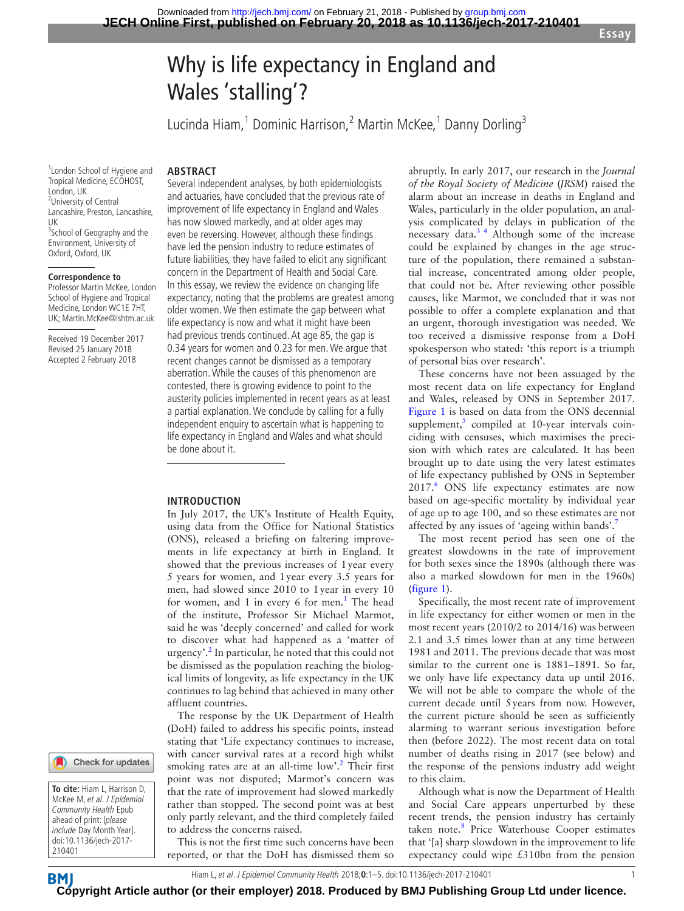**Essay**

# Why is life expectancy in England and Wales 'stalling'?

Lucinda Hiam,<sup>1</sup> Dominic Harrison,<sup>2</sup> Martin McKee,<sup>1</sup> Danny Dorling<sup>3</sup>

#### 1 London School of Hygiene and Tropical Medicine, ECOHOST, London, UK <sup>2</sup>University of Central Lancashire, Preston, Lancashire, UK <sup>3</sup> School of Geography and the Environment, University of Oxford, Oxford, UK

# **Correspondence to**

Professor Martin McKee, London School of Hygiene and Tropical Medicine, London WC1E 7HT, UK; Martin.McKee@lshtm.ac.uk

Received 19 December 2017 Revised 25 January 2018 Accepted 2 February 2018

Check for updates

**To cite:** Hiam L, Harrison D, McKee M, et al. J Epidemiol Community Health Epub ahead of print: [please include Day Month Year]. doi:10.1136/jech-2017- 210401

**BM** 

**ARSTRACT** 

Several independent analyses, by both epidemiologists and actuaries, have concluded that the previous rate of improvement of life expectancy in England and Wales has now slowed markedly, and at older ages may even be reversing. However, although these findings have led the pension industry to reduce estimates of future liabilities, they have failed to elicit any significant concern in the Department of Health and Social Care. In this essay, we review the evidence on changing life expectancy, noting that the problems are greatest among older women. We then estimate the gap between what life expectancy is now and what it might have been had previous trends continued. At age 85, the gap is 0.34 years for women and 0.23 for men. We argue that recent changes cannot be dismissed as a temporary aberration. While the causes of this phenomenon are contested, there is growing evidence to point to the austerity policies implemented in recent years as at least a partial explanation. We conclude by calling for a fully independent enquiry to ascertain what is happening to life expectancy in England and Wales and what should be done about it.

#### **Introduction**

In July 2017, the UK's Institute of Health Equity, using data from the Office for National Statistics (ONS), released a briefing on faltering improvements in life expectancy at birth in England. It showed that the previous increases of 1year every 5 years for women, and 1year every 3.5 years for men, had slowed since 2010 to 1year in every 10 for women, and 1 in every 6 for men.<sup>1</sup> The head of the institute, Professor Sir Michael Marmot, said he was 'deeply concerned' and called for work to discover what had happened as a 'matter of urgency'.<sup>[2](#page-3-1)</sup> In particular, he noted that this could not be dismissed as the population reaching the biological limits of longevity, as life expectancy in the UK continues to lag behind that achieved in many other affluent countries.

The response by the UK Department of Health (DoH) failed to address his specific points, instead stating that 'Life expectancy continues to increase, with cancer survival rates at a record high whilst smoking rates are at an all-time low'.<sup>[2](#page-3-1)</sup> Their first point was not disputed; Marmot's concern was that the rate of improvement had slowed markedly rather than stopped. The second point was at best only partly relevant, and the third completely failed to address the concerns raised.

This is not the first time such concerns have been reported, or that the DoH has dismissed them so

abruptly. In early 2017, our research in the *Journal of the Royal Society of Medicine* (*JRSM*) raised the alarm about an increase in deaths in England and Wales, particularly in the older population, an analysis complicated by delays in publication of the necessary data.<sup>34</sup> Although some of the increase could be explained by changes in the age structure of the population, there remained a substantial increase, concentrated among older people, that could not be. After reviewing other possible causes, like Marmot, we concluded that it was not possible to offer a complete explanation and that an urgent, thorough investigation was needed. We too received a dismissive response from a DoH spokesperson who stated: 'this report is a triumph of personal bias over research'.

These concerns have not been assuaged by the most recent data on life expectancy for England and Wales, released by ONS in September 2017. [Figure](#page-1-0) 1 is based on data from the ONS decennial supplement, $5$  compiled at 10-year intervals coinciding with censuses, which maximises the precision with which rates are calculated. It has been brought up to date using the very latest estimates of life expectancy published by ONS in September 2017.<sup>[6](#page-3-4)</sup> ONS life expectancy estimates are now based on age-specific mortality by individual year of age up to age 100, and so these estimates are not affected by any issues of 'ageing within bands'[.7](#page-4-0)

The most recent period has seen one of the greatest slowdowns in the rate of improvement for both sexes since the 1890s (although there was also a marked slowdown for men in the 1960s) ([figure](#page-1-0) 1).

Specifically, the most recent rate of improvement in life expectancy for either women or men in the most recent years (2010/2 to 2014/16) was between 2.1 and 3.5 times lower than at any time between 1981 and 2011. The previous decade that was most similar to the current one is 1881–1891. So far, we only have life expectancy data up until 2016. We will not be able to compare the whole of the current decade until 5years from now. However, the current picture should be seen as sufficiently alarming to warrant serious investigation before then (before 2022). The most recent data on total number of deaths rising in 2017 (see below) and the response of the pensions industry add weight to this claim.

Although what is now the Department of Health and Social Care appears unperturbed by these recent trends, the pension industry has certainly taken note.<sup>[8](#page-4-1)</sup> Price Waterhouse Cooper estimates that '[a] sharp slowdown in the improvement to life expectancy could wipe £310bn from the pension

Hiam L, et al. J Epidemiol Community Health 2018;**0**:1–5. doi:10.1136/jech-2017-210401 1

**Copyright Article author (or their employer) 2018. Produced by BMJ Publishing Group Ltd under licence.**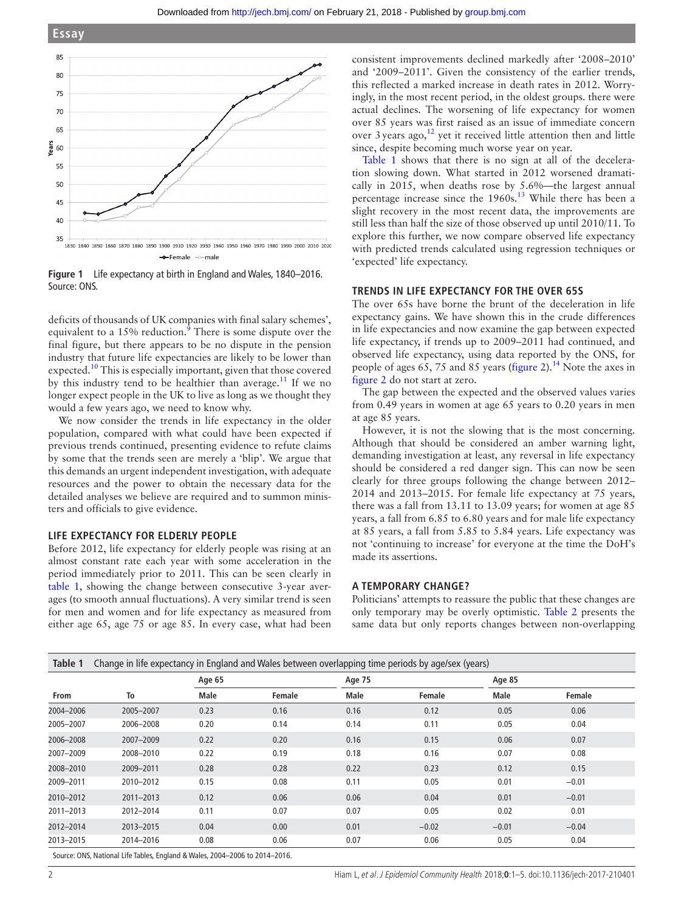



<span id="page-1-0"></span>**Figure 1** Life expectancy at birth in England and Wales, 1840–2016. Source: ONS.

deficits of thousands of UK companies with final salary schemes', equivalent to a 15% reduction.<sup>[9](#page-4-2)</sup> There is some dispute over the final figure, but there appears to be no dispute in the pension industry that future life expectancies are likely to be lower than expected.[10](#page-4-3) This is especially important, given that those covered by this industry tend to be healthier than average.<sup>[11](#page-4-4)</sup> If we no longer expect people in the UK to live as long as we thought they would a few years ago, we need to know why.

We now consider the trends in life expectancy in the older population, compared with what could have been expected if previous trends continued, presenting evidence to refute claims by some that the trends seen are merely a 'blip'. We argue that this demands an urgent independent investigation, with adequate resources and the power to obtain the necessary data for the detailed analyses we believe are required and to summon ministers and officials to give evidence.

#### **Life expectancy for elderly people**

Before 2012, life expectancy for elderly people was rising at an almost constant rate each year with some acceleration in the period immediately prior to 2011. This can be seen clearly in [table](#page-1-1) 1, showing the change between consecutive 3-year averages (to smooth annual fluctuations). A very similar trend is seen for men and women and for life expectancy as measured from either age 65, age 75 or age 85. In every case, what had been

consistent improvements declined markedly after '2008–2010' and '2009–2011'. Given the consistency of the earlier trends, this reflected a marked increase in death rates in 2012. Worryingly, in the most recent period, in the oldest groups. there were actual declines. The worsening of life expectancy for women over 85 years was first raised as an issue of immediate concern over 3 years ago,<sup>[12](#page-4-5)</sup> yet it received little attention then and little since, despite becoming much worse year on year.

[Table](#page-1-1) 1 shows that there is no sign at all of the deceleration slowing down. What started in 2012 worsened dramatically in 2015, when deaths rose by 5.6%—the largest annual percentage increase since the 1960s.<sup>[13](#page-4-6)</sup> While there has been a slight recovery in the most recent data, the improvements are still less than half the size of those observed up until 2010/11. To explore this further, we now compare observed life expectancy with predicted trends calculated using regression techniques or 'expected' life expectancy.

### **Trends in life expectancy for the over 65s**

The over 65s have borne the brunt of the deceleration in life expectancy gains. We have shown this in the crude differences in life expectancies and now examine the gap between expected life expectancy, if trends up to 2009–2011 had continued, and observed life expectancy, using data reported by the ONS, for people of ages 65, 75 and 85 years ([figure](#page-2-0) 2).<sup>14</sup> Note the axes in [figure](#page-2-0) 2 do not start at zero.

The gap between the expected and the observed values varies from 0.49 years in women at age 65 years to 0.20 years in men at age 85 years.

However, it is not the slowing that is the most concerning. Although that should be considered an amber warning light, demanding investigation at least, any reversal in life expectancy should be considered a red danger sign. This can now be seen clearly for three groups following the change between 2012– 2014 and 2013–2015. For female life expectancy at 75 years, there was a fall from 13.11 to 13.09 years; for women at age 85 years, a fall from 6.85 to 6.80 years and for male life expectancy at 85 years, a fall from 5.85 to 5.84 years. Life expectancy was not 'continuing to increase' for everyone at the time the DoH's made its assertions.

# **A temporary change?**

Politicians' attempts to reassure the public that these changes are only temporary may be overly optimistic. [Table](#page-2-1) 2 presents the same data but only reports changes between non-overlapping

<span id="page-1-1"></span>

|           |           | Age 65 |        | Age 75 |         | Age 85  |         |
|-----------|-----------|--------|--------|--------|---------|---------|---------|
| From      | To        | Male   | Female | Male   | Female  | Male    | Female  |
| 2004-2006 | 2005-2007 | 0.23   | 0.16   | 0.16   | 0.12    | 0.05    | 0.06    |
| 2005-2007 | 2006-2008 | 0.20   | 0.14   | 0.14   | 0.11    | 0.05    | 0.04    |
| 2006-2008 | 2007-2009 | 0.22   | 0.20   | 0.16   | 0.15    | 0.06    | 0.07    |
| 2007-2009 | 2008-2010 | 0.22   | 0.19   | 0.18   | 0.16    | 0.07    | 0.08    |
| 2008-2010 | 2009-2011 | 0.28   | 0.28   | 0.22   | 0.23    | 0.12    | 0.15    |
| 2009-2011 | 2010-2012 | 0.15   | 0.08   | 0.11   | 0.05    | 0.01    | $-0.01$ |
| 2010-2012 | 2011-2013 | 0.12   | 0.06   | 0.06   | 0.04    | 0.01    | $-0.01$ |
| 2011-2013 | 2012-2014 | 0.11   | 0.07   | 0.07   | 0.05    | 0.02    | 0.01    |
| 2012-2014 | 2013-2015 | 0.04   | 0.00   | 0.01   | $-0.02$ | $-0.01$ | $-0.04$ |
| 2013-2015 | 2014-2016 | 0.08   | 0.06   | 0.07   | 0.06    | 0.05    | 0.04    |

Source: ONS, National Life Tables, England & Wales, 2004–2006 to 2014–2016.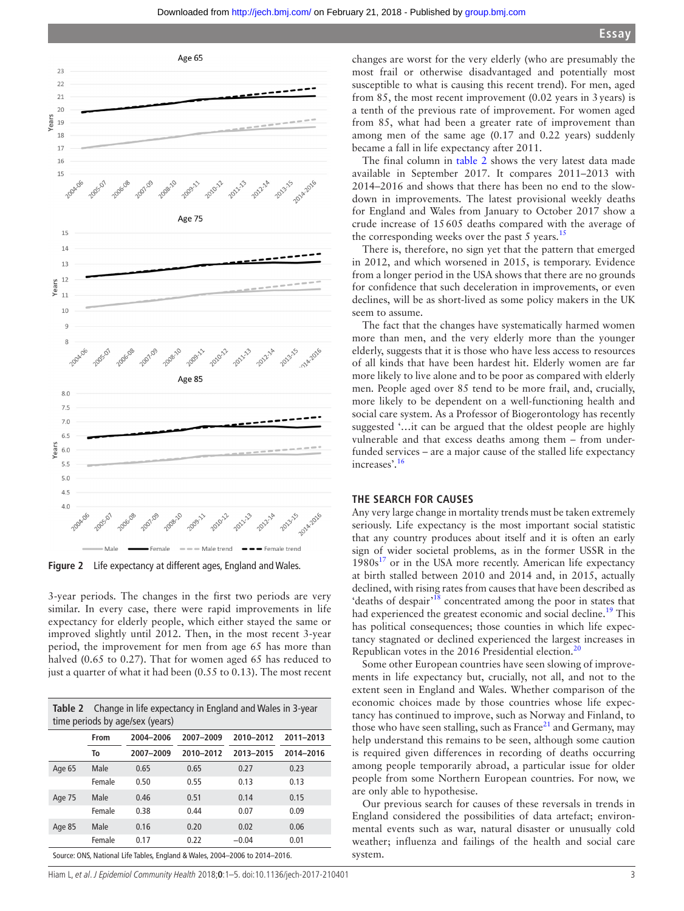

<span id="page-2-0"></span>**Figure 2** Life expectancy at different ages, England and Wales.

3-year periods. The changes in the first two periods are very similar. In every case, there were rapid improvements in life expectancy for elderly people, which either stayed the same or improved slightly until 2012. Then, in the most recent 3-year period, the improvement for men from age 65 has more than halved (0.65 to 0.27). That for women aged 65 has reduced to just a quarter of what it had been (0.55 to 0.13). The most recent

<span id="page-2-1"></span>

| <b>Table 2</b> Change in life expectancy in England and Wales in 3-year<br>time periods by age/sex (years) |        |           |           |           |           |
|------------------------------------------------------------------------------------------------------------|--------|-----------|-----------|-----------|-----------|
|                                                                                                            | From   | 2004-2006 | 2007-2009 | 2010-2012 | 2011-2013 |
|                                                                                                            | To     | 2007-2009 | 2010-2012 | 2013-2015 | 2014-2016 |
| Age 65                                                                                                     | Male   | 0.65      | 0.65      | 0.27      | 0.23      |
|                                                                                                            | Female | 0.50      | 0.55      | 0.13      | 0.13      |
| Age 75                                                                                                     | Male   | 0.46      | 0.51      | 0.14      | 0.15      |
|                                                                                                            | Female | 0.38      | 0.44      | 0.07      | 0.09      |
| Age 85                                                                                                     | Male   | 0.16      | 0.20      | 0.02      | 0.06      |
|                                                                                                            | Female | 0.17      | 0.22      | $-0.04$   | 0.01      |
| Source: ONS, National Life Tables, England & Wales, 2004-2006 to 2014-2016.                                |        |           |           |           |           |

Hiam L, et al. J Epidemiol Community Health 2018;**0**:1–5. doi:10.1136/jech-2017-210401 3

changes are worst for the very elderly (who are presumably the most frail or otherwise disadvantaged and potentially most susceptible to what is causing this recent trend). For men, aged from 85, the most recent improvement (0.02 years in 3years) is a tenth of the previous rate of improvement. For women aged from 85, what had been a greater rate of improvement than among men of the same age (0.17 and 0.22 years) suddenly became a fall in life expectancy after 2011.

The final column in [table](#page-2-1) 2 shows the very latest data made available in September 2017. It compares 2011–2013 with 2014–2016 and shows that there has been no end to the slowdown in improvements. The latest provisional weekly deaths for England and Wales from January to October 2017 show a crude increase of 15605 deaths compared with the average of the corresponding weeks over the past 5 years.<sup>[15](#page-4-8)</sup>

There is, therefore, no sign yet that the pattern that emerged in 2012, and which worsened in 2015, is temporary. Evidence from a longer period in the USA shows that there are no grounds for confidence that such deceleration in improvements, or even declines, will be as short-lived as some policy makers in the UK seem to assume.

The fact that the changes have systematically harmed women more than men, and the very elderly more than the younger elderly, suggests that it is those who have less access to resources of all kinds that have been hardest hit. Elderly women are far more likely to live alone and to be poor as compared with elderly men. People aged over 85 tend to be more frail, and, crucially, more likely to be dependent on a well-functioning health and social care system. As a Professor of Biogerontology has recently suggested '…it can be argued that the oldest people are highly vulnerable and that excess deaths among them – from underfunded services – are a major cause of the stalled life expectancy increases'.[16](#page-4-9)

# **The search for causes**

Any very large change in mortality trends must be taken extremely seriously. Life expectancy is the most important social statistic that any country produces about itself and it is often an early sign of wider societal problems, as in the former USSR in the  $1980s<sup>17</sup>$  $1980s<sup>17</sup>$  $1980s<sup>17</sup>$  or in the USA more recently. American life expectancy at birth stalled between 2010 and 2014 and, in 2015, actually declined, with rising rates from causes that have been described as 'deaths of despair'[18](#page-4-11) concentrated among the poor in states that had experienced the greatest economic and social decline.<sup>19</sup> This has political consequences; those counties in which life expectancy stagnated or declined experienced the largest increases in Republican votes in the [20](#page-4-13)16 Presidential election.<sup>20</sup>

Some other European countries have seen slowing of improvements in life expectancy but, crucially, not all, and not to the extent seen in England and Wales. Whether comparison of the economic choices made by those countries whose life expectancy has continued to improve, such as Norway and Finland, to those who have seen stalling, such as France<sup>21</sup> and Germany, may help understand this remains to be seen, although some caution is required given differences in recording of deaths occurring among people temporarily abroad, a particular issue for older people from some Northern European countries. For now, we are only able to hypothesise.

Our previous search for causes of these reversals in trends in England considered the possibilities of data artefact; environmental events such as war, natural disaster or unusually cold weather; influenza and failings of the health and social care system.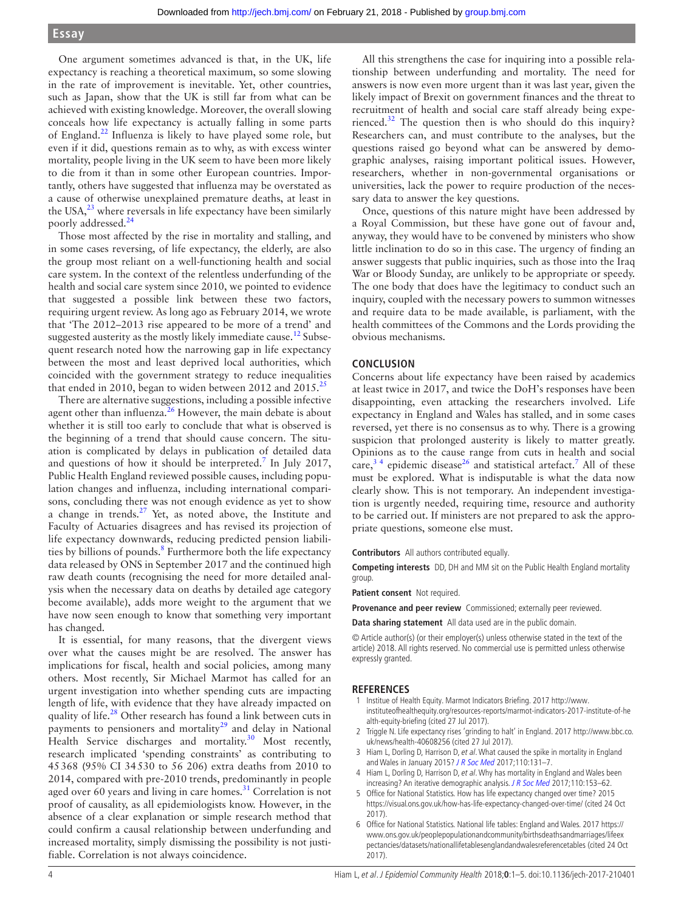# **Essay**

One argument sometimes advanced is that, in the UK, life expectancy is reaching a theoretical maximum, so some slowing in the rate of improvement is inevitable. Yet, other countries, such as Japan, show that the UK is still far from what can be achieved with existing knowledge. Moreover, the overall slowing conceals how life expectancy is actually falling in some parts of England.[22](#page-4-15) Influenza is likely to have played some role, but even if it did, questions remain as to why, as with excess winter mortality, people living in the UK seem to have been more likely to die from it than in some other European countries. Importantly, others have suggested that influenza may be overstated as a cause of otherwise unexplained premature deaths, at least in the USA, $^{23}$  $^{23}$  $^{23}$  where reversals in life expectancy have been similarly poorly addressed.<sup>[24](#page-4-17)</sup>

Those most affected by the rise in mortality and stalling, and in some cases reversing, of life expectancy, the elderly, are also the group most reliant on a well-functioning health and social care system. In the context of the relentless underfunding of the health and social care system since 2010, we pointed to evidence that suggested a possible link between these two factors, requiring urgent review. As long ago as February 2014, we wrote that 'The 2012–2013 rise appeared to be more of a trend' and suggested austerity as the mostly likely immediate cause.<sup>12</sup> Subsequent research noted how the narrowing gap in life expectancy between the most and least deprived local authorities, which coincided with the government strategy to reduce inequalities that ended in 2010, began to widen between 2012 and  $2015.^25$ 

There are alternative suggestions, including a possible infective agent other than influenza. $26$  However, the main debate is about whether it is still too early to conclude that what is observed is the beginning of a trend that should cause concern. The situation is complicated by delays in publication of detailed data and questions of how it should be interpreted.<sup>[7](#page-4-0)</sup> In July 2017, Public Health England reviewed possible causes, including population changes and influenza, including international comparisons, concluding there was not enough evidence as yet to show a change in trends.<sup>[27](#page-4-20)</sup> Yet, as noted above, the Institute and Faculty of Actuaries disagrees and has revised its projection of life expectancy downwards, reducing predicted pension liabilities by billions of pounds.<sup>8</sup> Furthermore both the life expectancy data released by ONS in September 2017 and the continued high raw death counts (recognising the need for more detailed analysis when the necessary data on deaths by detailed age category become available), adds more weight to the argument that we have now seen enough to know that something very important has changed.

It is essential, for many reasons, that the divergent views over what the causes might be are resolved. The answer has implications for fiscal, health and social policies, among many others. Most recently, Sir Michael Marmot has called for an urgent investigation into whether spending cuts are impacting length of life, with evidence that they have already impacted on quality of life. $^{28}$  Other research has found a link between cuts in payments to pensioners and mortality<sup>[29](#page-4-22)</sup> and delay in National Health Service discharges and mortality.<sup>30</sup> Most recently, research implicated 'spending constraints' as contributing to 45368 (95% CI 34530 to 56 206) extra deaths from 2010 to 2014, compared with pre-2010 trends, predominantly in people aged over 60 years and living in care homes. $31$  Correlation is not proof of causality, as all epidemiologists know. However, in the absence of a clear explanation or simple research method that could confirm a causal relationship between underfunding and increased mortality, simply dismissing the possibility is not justifiable. Correlation is not always coincidence.

All this strengthens the case for inquiring into a possible relationship between underfunding and mortality. The need for answers is now even more urgent than it was last year, given the likely impact of Brexit on government finances and the threat to recruitment of health and social care staff already being experienced. $32$  The question then is who should do this inquiry? Researchers can, and must contribute to the analyses, but the questions raised go beyond what can be answered by demographic analyses, raising important political issues. However, researchers, whether in non-governmental organisations or universities, lack the power to require production of the necessary data to answer the key questions.

Once, questions of this nature might have been addressed by a Royal Commission, but these have gone out of favour and, anyway, they would have to be convened by ministers who show little inclination to do so in this case. The urgency of finding an answer suggests that public inquiries, such as those into the Iraq War or Bloody Sunday, are unlikely to be appropriate or speedy. The one body that does have the legitimacy to conduct such an inquiry, coupled with the necessary powers to summon witnesses and require data to be made available, is parliament, with the health committees of the Commons and the Lords providing the obvious mechanisms.

# **Conclusion**

Concerns about life expectancy have been raised by academics at least twice in 2017, and twice the DoH's responses have been disappointing, even attacking the researchers involved. Life expectancy in England and Wales has stalled, and in some cases reversed, yet there is no consensus as to why. There is a growing suspicion that prolonged austerity is likely to matter greatly. Opinions as to the cause range from cuts in health and social care,<sup>34</sup> epidemic disease<sup>26</sup> and statistical artefact.<sup>[7](#page-4-0)</sup> All of these must be explored. What is indisputable is what the data now clearly show. This is not temporary. An independent investigation is urgently needed, requiring time, resource and authority to be carried out. If ministers are not prepared to ask the appropriate questions, someone else must.

#### **Contributors** All authors contributed equally.

**Competing interests** DD, DH and MM sit on the Public Health England mortality group.

**Patient consent** Not required.

Provenance and peer review Commissioned; externally peer reviewed.

**Data sharing statement** All data used are in the public domain.

© Article author(s) (or their employer(s) unless otherwise stated in the text of the article) 2018. All rights reserved. No commercial use is permitted unless otherwise expressly granted.

#### **References**

- <span id="page-3-0"></span>1 Institue of Health Equity. Marmot Indicators Briefing. 2017 [http://www.](http://www.instituteofhealthequity.org/resources-reports/marmot-indicators-2017-institute-of-health-equity-briefing) [instituteofhealthequity.org/resources-reports/marmot-indicators-2017-institute-of-he](http://www.instituteofhealthequity.org/resources-reports/marmot-indicators-2017-institute-of-health-equity-briefing) [alth-equity-briefing](http://www.instituteofhealthequity.org/resources-reports/marmot-indicators-2017-institute-of-health-equity-briefing) (cited 27 Jul 2017).
- <span id="page-3-1"></span>2 Triggle N. Life expectancy rises 'grinding to halt' in England. 2017 [http://www.bbc.co.](http://www.bbc.co.uk/news/health-40608256) [uk/news/health-40608256](http://www.bbc.co.uk/news/health-40608256) (cited 27 Jul 2017).
- <span id="page-3-2"></span>3 Hiam L, Dorling D, Harrison D, et al. What caused the spike in mortality in England and Wales in January 2015? [J R Soc Med](http://dx.doi.org/10.1177/0141076817693600) 2017;110:131-7.
- 4 Hiam L, Dorling D, Harrison D, et al. Why has mortality in England and Wales been increasing? An iterative demographic analysis. [J R Soc Med](http://dx.doi.org/10.1177/0141076817693599) 2017;110:153-62.
- <span id="page-3-3"></span>5 Office for National Statistics. How has life expectancy changed over time? 2015 <https://visual.ons.gov.uk/how-has-life-expectancy-changed-over-time/>(cited 24 Oct 2017).
- <span id="page-3-4"></span>6 Office for National Statistics. National life tables: England and Wales. 2017 [https://](https://www.ons.gov.uk/peoplepopulationandcommunity/birthsdeathsandmarriages/lifeexpectancies/datasets/nationallifetablesenglandandwalesreferencetables) [www.ons.gov.uk/peoplepopulationandcommunity/birthsdeathsandmarriages/lifeex](https://www.ons.gov.uk/peoplepopulationandcommunity/birthsdeathsandmarriages/lifeexpectancies/datasets/nationallifetablesenglandandwalesreferencetables) [pectancies/datasets/nationallifetablesenglandandwalesreferencetables](https://www.ons.gov.uk/peoplepopulationandcommunity/birthsdeathsandmarriages/lifeexpectancies/datasets/nationallifetablesenglandandwalesreferencetables) (cited 24 Oct 2017).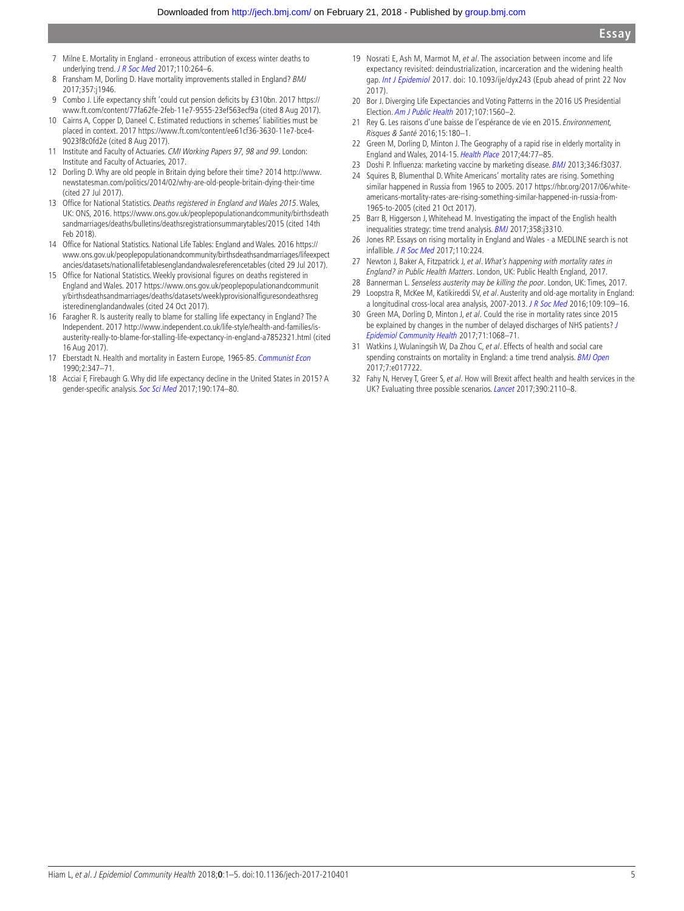- <span id="page-4-0"></span>7 Milne E. Mortality in England - erroneous attribution of excess winter deaths to underlying trend. [J R Soc Med](http://dx.doi.org/10.1177/0141076817703865) 2017;110:264-6.
- <span id="page-4-1"></span>8 Fransham M, Dorling D. Have mortality improvements stalled in England? BMJ 2017;357:j1946.
- <span id="page-4-2"></span>9 Combo J. Life expectancy shift 'could cut pension deficits by £310bn. 2017 [https://](https://www.ft.com/content/77fa62fe-2feb-11e7-9555-23ef563ecf9a) [www.ft.com/content/77fa62fe-2feb-11e7-9555-23ef563ecf9a](https://www.ft.com/content/77fa62fe-2feb-11e7-9555-23ef563ecf9a) (cited 8 Aug 2017).
- <span id="page-4-3"></span>10 Cairns A, Copper D, Daneel C. Estimated reductions in schemes' liabilities must be placed in context. 2017 [https://www.ft.com/content/ee61cf36-3630-11e7-bce4-](https://www.ft.com/content/ee61cf36-3630-11e7-bce4-9023f8c0fd2e) [9023f8c0fd2e](https://www.ft.com/content/ee61cf36-3630-11e7-bce4-9023f8c0fd2e) (cited 8 Aug 2017).
- <span id="page-4-4"></span>11 Institute and Faculty of Actuaries. CMI Working Papers 97, 98 and 99. London: Institute and Faculty of Actuaries, 2017.
- <span id="page-4-5"></span>12 Dorling D. Why are old people in Britain dying before their time? 2014 [http://www.](http://www.newstatesman.com/politics/2014/02/why-are-old-people-britain-dying-their-time) [newstatesman.com/politics/2014/02/why-are-old-people-britain-dying-their-time](http://www.newstatesman.com/politics/2014/02/why-are-old-people-britain-dying-their-time)  (cited 27 Jul 2017).
- <span id="page-4-6"></span>13 Office for National Statistics. Deaths registered in England and Wales 2015. Wales, UK: ONS, 2016. [https://www.ons.gov.uk/peoplepopulationandcommunity/birthsdeath](https://www.ons.gov.uk/peoplepopulationandcommunity/birthsdeathsandmarriages/deaths/bulletins/deathsregistrationsummarytables/2015 (cited 14th Feb 2018)) [sandmarriages/deaths/bulletins/deathsregistrationsummarytables/2015 \(cited 14th](https://www.ons.gov.uk/peoplepopulationandcommunity/birthsdeathsandmarriages/deaths/bulletins/deathsregistrationsummarytables/2015 (cited 14th Feb 2018))  [Feb 2018\)](https://www.ons.gov.uk/peoplepopulationandcommunity/birthsdeathsandmarriages/deaths/bulletins/deathsregistrationsummarytables/2015 (cited 14th Feb 2018)).
- <span id="page-4-7"></span>14 Office for National Statistics. National Life Tables: England and Wales. 2016 [https://](https://www.ons.gov.uk/peoplepopulationandcommunity/birthsdeathsandmarriages/lifeexpectancies/datasets/nationallifetablesenglandandwalesreferencetables) [www.ons.gov.uk/peoplepopulationandcommunity/birthsdeathsandmarriages/lifeexpect](https://www.ons.gov.uk/peoplepopulationandcommunity/birthsdeathsandmarriages/lifeexpectancies/datasets/nationallifetablesenglandandwalesreferencetables) [ancies/datasets/nationallifetablesenglandandwalesreferencetables](https://www.ons.gov.uk/peoplepopulationandcommunity/birthsdeathsandmarriages/lifeexpectancies/datasets/nationallifetablesenglandandwalesreferencetables) (cited 29 Jul 2017).
- <span id="page-4-8"></span>15 Office for National Statistics. Weekly provisional figures on deaths registered in England and Wales. 2017 [https://www.ons.gov.uk/peoplepopulationandcommunit](https://www.ons.gov.uk/peoplepopulationandcommunity/birthsdeathsandmarriages/deaths/datasets/weeklyprovisionalfiguresondeathsregisteredinenglandandwales) [y/birthsdeathsandmarriages/deaths/datasets/weeklyprovisionalfiguresondeathsreg](https://www.ons.gov.uk/peoplepopulationandcommunity/birthsdeathsandmarriages/deaths/datasets/weeklyprovisionalfiguresondeathsregisteredinenglandandwales) [isteredinenglandandwales](https://www.ons.gov.uk/peoplepopulationandcommunity/birthsdeathsandmarriages/deaths/datasets/weeklyprovisionalfiguresondeathsregisteredinenglandandwales) (cited 24 Oct 2017).
- <span id="page-4-9"></span>16 Faragher R. Is austerity really to blame for stalling life expectancy in England? The Independent. 2017 [http://www.independent.co.uk/life-style/health-and-families/is](http://www.independent.co.uk/life-style/health-and-families/is-austerity-really-to-blame-for-stalling-life-expectancy-in-england-a7852321.html)[austerity-really-to-blame-for-stalling-life-expectancy-in-england-a7852321.html](http://www.independent.co.uk/life-style/health-and-families/is-austerity-really-to-blame-for-stalling-life-expectancy-in-england-a7852321.html) (cited 16 Aug 2017).
- <span id="page-4-10"></span>17 Eberstadt N. Health and mortality in Eastern Europe, 1965-85. [Communist Econ](http://dx.doi.org/10.1080/14631379008427651) 1990;2:347–71.
- <span id="page-4-11"></span>18 Acciai F, Firebaugh G. Why did life expectancy decline in the United States in 2015? A gender-specific analysis. [Soc Sci Med](http://dx.doi.org/10.1016/j.socscimed.2017.08.004) 2017;190:174–80.
- <span id="page-4-12"></span>19 Nosrati E, Ash M, Marmot M, et al. The association between income and life expectancy revisited: deindustrialization, incarceration and the widening health gap. [Int J Epidemiol](http://dx.doi.org/10.1093/ije/dyx243) 2017. doi: 10.1093/ije/dyx243 (Epub ahead of print 22 Nov 2017).
- <span id="page-4-13"></span>20 Bor J. Diverging Life Expectancies and Voting Patterns in the 2016 US Presidential Election. [Am J Public Health](http://dx.doi.org/10.2105/AJPH.2017.303945) 2017;107:1560–2.
- <span id="page-4-14"></span>21 Rey G. Les raisons d'une baisse de l'espérance de vie en 2015. Environnement, Risques & Santé 2016;15:180–1.
- <span id="page-4-15"></span>22 Green M, Dorling D, Minton J. The Geography of a rapid rise in elderly mortality in England and Wales, 2014-15. [Health Place](http://dx.doi.org/10.1016/j.healthplace.2017.02.002) 2017;44:77–85.
- <span id="page-4-16"></span>23 Doshi P. Influenza: marketing vaccine by marketing disease. [BMJ](http://dx.doi.org/10.1136/bmj.f3037) 2013;346:f3037.
- <span id="page-4-17"></span>24 Squires B, Blumenthal D. White Americans' mortality rates are rising. Something similar happened in Russia from 1965 to 2005. 2017 [https://hbr.org/2017/06/white](https://hbr.org/2017/06/white-americans-mortality-rates-are-rising-something-similar-happened-in-russia-from-1965-to-2005)[americans-mortality-rates-are-rising-something-similar-happened-in-russia-from-](https://hbr.org/2017/06/white-americans-mortality-rates-are-rising-something-similar-happened-in-russia-from-1965-to-2005)[1965-to-2005](https://hbr.org/2017/06/white-americans-mortality-rates-are-rising-something-similar-happened-in-russia-from-1965-to-2005) (cited 21 Oct 2017).
- <span id="page-4-18"></span>25 Barr B, Higgerson J, Whitehead M. Investigating the impact of the English health inequalities strategy: time trend analysis. **[BMJ](http://dx.doi.org/10.1136/bmj.j3310)** 2017;358:j3310.
- <span id="page-4-19"></span>26 Jones RP. Essays on rising mortality in England and Wales - a MEDLINE search is not infallible. *[J R Soc Med](http://dx.doi.org/10.1177/0141076817703864)* 2017;110:224.
- <span id="page-4-20"></span>27 Newton J, Baker A, Fitzpatrick J, et al. What's happening with mortality rates in England? in Public Health Matters. London, UK: Public Health England, 2017.
- <span id="page-4-21"></span>28 Bannerman L. Senseless austerity may be killing the poor. London, UK: Times, 2017.
- <span id="page-4-22"></span>29 Loopstra R, McKee M, Katikireddi SV, et al. Austerity and old-age mortality in England: a longitudinal cross-local area analysis, 2007-2013. [J R Soc Med](http://dx.doi.org/10.1177/0141076816632215) 2016;109:109–16.
- <span id="page-4-23"></span>30 Green MA, Dorling D, Minton J, et al. Could the rise in mortality rates since 2015 be explained by changes in the number of delayed discharges of NHS patients? [J](http://dx.doi.org/10.1136/jech-2017-209403)  [Epidemiol Community Health](http://dx.doi.org/10.1136/jech-2017-209403) 2017;71:1068–71.
- <span id="page-4-24"></span>31 Watkins J, Wulaningsih W, Da Zhou C, et al. Effects of health and social care spending constraints on mortality in England: a time trend analysis. **[BMJ Open](http://dx.doi.org/10.1136/bmjopen-2017-017722)** 2017;7:e017722.
- <span id="page-4-25"></span>32 Fahy N, Hervey T, Greer S, et al. How will Brexit affect health and health services in the UK? Evaluating three possible scenarios. [Lancet](http://dx.doi.org/10.1016/S0140-6736(17)31926-8) 2017;390:2110-8.